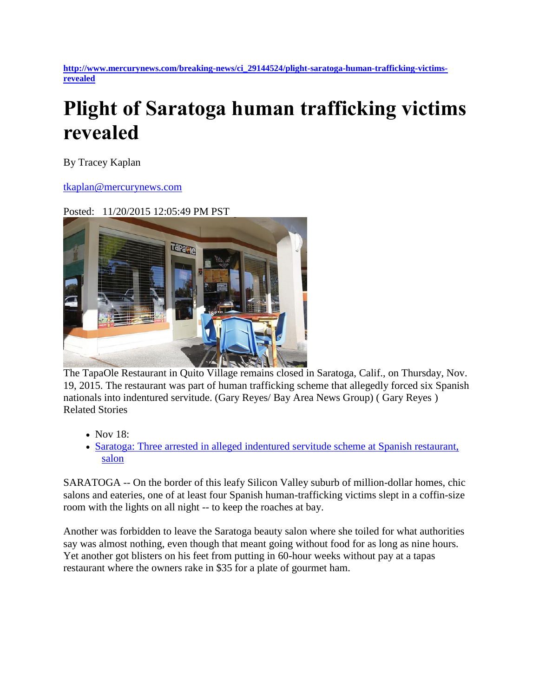**[http://www.mercurynews.com/breaking-news/ci\\_29144524/plight-saratoga-human-trafficking-victims](http://www.mercurynews.com/breaking-news/ci_29144524/plight-saratoga-human-trafficking-victims-revealed)[revealed](http://www.mercurynews.com/breaking-news/ci_29144524/plight-saratoga-human-trafficking-victims-revealed)**

## **Plight of Saratoga human trafficking victims revealed**

By Tracey Kaplan

## [tkaplan@mercurynews.com](mailto:tkaplan@mercurynews.com)

## Posted: 11/20/2015 12:05:49 PM PST



The TapaOle Restaurant in Quito Village remains closed in Saratoga, Calif., on Thursday, Nov. 19, 2015. The restaurant was part of human trafficking scheme that allegedly forced six Spanish nationals into indentured servitude. (Gary Reyes/ Bay Area News Group) ( Gary Reyes ) Related Stories

- Nov 18:
- [Saratoga: Three arrested in alleged indentured servitude scheme at Spanish restaurant,](http://www.mercurynews.com/crime-courts/ci_29134268/saratoga-three-arrested-alleged-indentured-servitude-scheme-at?source=pkg)  [salon](http://www.mercurynews.com/crime-courts/ci_29134268/saratoga-three-arrested-alleged-indentured-servitude-scheme-at?source=pkg)

SARATOGA -- On the border of this leafy Silicon Valley suburb of million-dollar homes, chic salons and eateries, one of at least four Spanish human-trafficking victims slept in a coffin-size room with the lights on all night -- to keep the roaches at bay.

Another was forbidden to leave the Saratoga beauty salon where she toiled for what authorities say was almost nothing, even though that meant going without food for as long as nine hours. Yet another got blisters on his feet from putting in 60-hour weeks without pay at a tapas restaurant where the owners rake in \$35 for a plate of gourmet ham.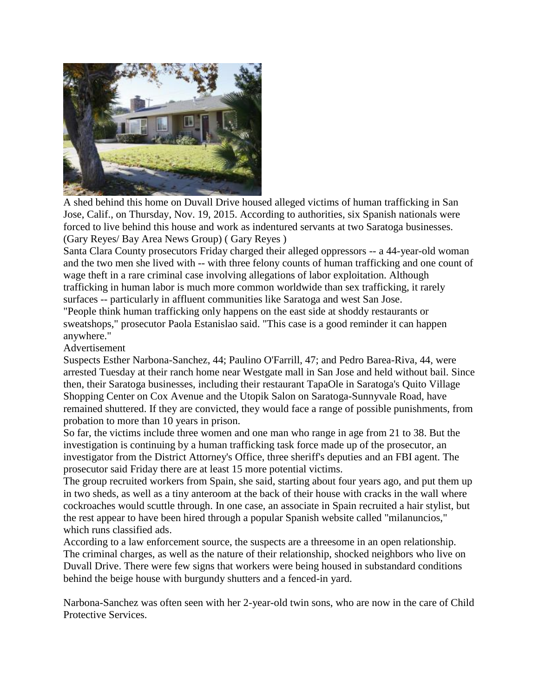

A shed behind this home on Duvall Drive housed alleged victims of human trafficking in San Jose, Calif., on Thursday, Nov. 19, 2015. According to authorities, six Spanish nationals were forced to live behind this house and work as indentured servants at two Saratoga businesses. (Gary Reyes/ Bay Area News Group) ( Gary Reyes )

Santa Clara County prosecutors Friday charged their alleged oppressors -- a 44-year-old woman and the two men she lived with -- with three felony counts of human trafficking and one count of wage theft in a rare criminal case involving allegations of labor exploitation. Although trafficking in human labor is much more common worldwide than sex trafficking, it rarely surfaces -- particularly in affluent communities like Saratoga and west San Jose. "People think human trafficking only happens on the east side at shoddy restaurants or

sweatshops," prosecutor Paola Estanislao said. "This case is a good reminder it can happen anywhere."

## Advertisement

Suspects Esther Narbona-Sanchez, 44; Paulino O'Farrill, 47; and Pedro Barea-Riva, 44, were arrested Tuesday at their ranch home near Westgate mall in San Jose and held without bail. Since then, their Saratoga businesses, including their restaurant TapaOle in Saratoga's Quito Village Shopping Center on Cox Avenue and the Utopik Salon on Saratoga-Sunnyvale Road, have remained shuttered. If they are convicted, they would face a range of possible punishments, from probation to more than 10 years in prison.

So far, the victims include three women and one man who range in age from 21 to 38. But the investigation is continuing by a human trafficking task force made up of the prosecutor, an investigator from the District Attorney's Office, three sheriff's deputies and an FBI agent. The prosecutor said Friday there are at least 15 more potential victims.

The group recruited workers from Spain, she said, starting about four years ago, and put them up in two sheds, as well as a tiny anteroom at the back of their house with cracks in the wall where cockroaches would scuttle through. In one case, an associate in Spain recruited a hair stylist, but the rest appear to have been hired through a popular Spanish website called "milanuncios," which runs classified ads.

According to a law enforcement source, the suspects are a threesome in an open relationship. The criminal charges, as well as the nature of their relationship, shocked neighbors who live on Duvall Drive. There were few signs that workers were being housed in substandard conditions behind the beige house with burgundy shutters and a fenced-in yard.

Narbona-Sanchez was often seen with her 2-year-old twin sons, who are now in the care of Child Protective Services.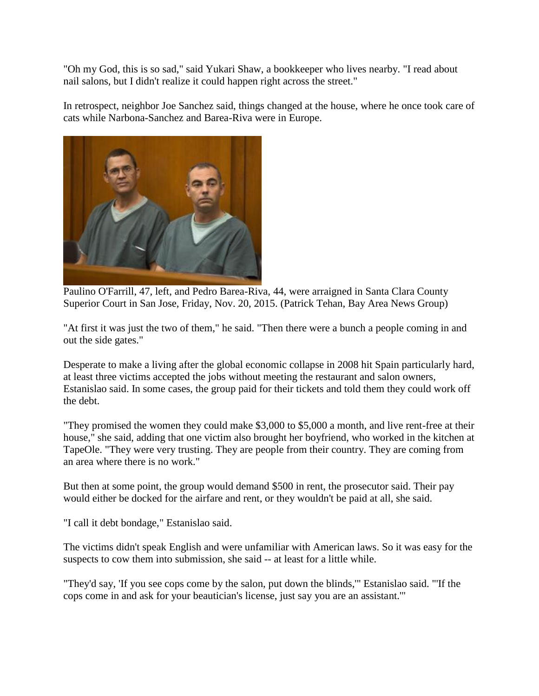"Oh my God, this is so sad," said Yukari Shaw, a bookkeeper who lives nearby. "I read about nail salons, but I didn't realize it could happen right across the street."

In retrospect, neighbor Joe Sanchez said, things changed at the house, where he once took care of cats while Narbona-Sanchez and Barea-Riva were in Europe.



Paulino O'Farrill, 47, left, and Pedro Barea-Riva, 44, were arraigned in Santa Clara County Superior Court in San Jose, Friday, Nov. 20, 2015. (Patrick Tehan, Bay Area News Group)

"At first it was just the two of them," he said. "Then there were a bunch a people coming in and out the side gates."

Desperate to make a living after the global economic collapse in 2008 hit Spain particularly hard, at least three victims accepted the jobs without meeting the restaurant and salon owners, Estanislao said. In some cases, the group paid for their tickets and told them they could work off the debt.

"They promised the women they could make \$3,000 to \$5,000 a month, and live rent-free at their house," she said, adding that one victim also brought her boyfriend, who worked in the kitchen at TapeOle. "They were very trusting. They are people from their country. They are coming from an area where there is no work."

But then at some point, the group would demand \$500 in rent, the prosecutor said. Their pay would either be docked for the airfare and rent, or they wouldn't be paid at all, she said.

"I call it debt bondage," Estanislao said.

The victims didn't speak English and were unfamiliar with American laws. So it was easy for the suspects to cow them into submission, she said -- at least for a little while.

"They'd say, 'If you see cops come by the salon, put down the blinds,'" Estanislao said. "'If the cops come in and ask for your beautician's license, just say you are an assistant.'"